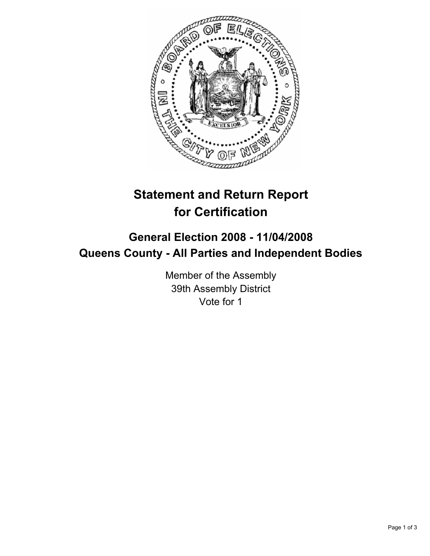

# **Statement and Return Report for Certification**

## **General Election 2008 - 11/04/2008 Queens County - All Parties and Independent Bodies**

Member of the Assembly 39th Assembly District Vote for 1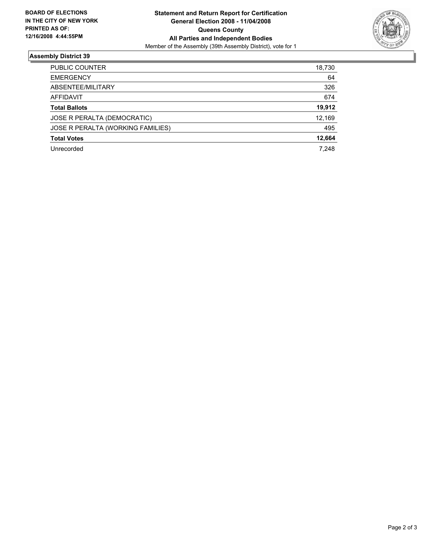

### **Assembly District 39**

| <b>PUBLIC COUNTER</b>             | 18,730 |
|-----------------------------------|--------|
| <b>EMERGENCY</b>                  | 64     |
| ABSENTEE/MILITARY                 | 326    |
| AFFIDAVIT                         | 674    |
| <b>Total Ballots</b>              | 19,912 |
| JOSE R PERALTA (DEMOCRATIC)       | 12,169 |
| JOSE R PERALTA (WORKING FAMILIES) | 495    |
| <b>Total Votes</b>                | 12,664 |
| Unrecorded                        | 7,248  |
|                                   |        |